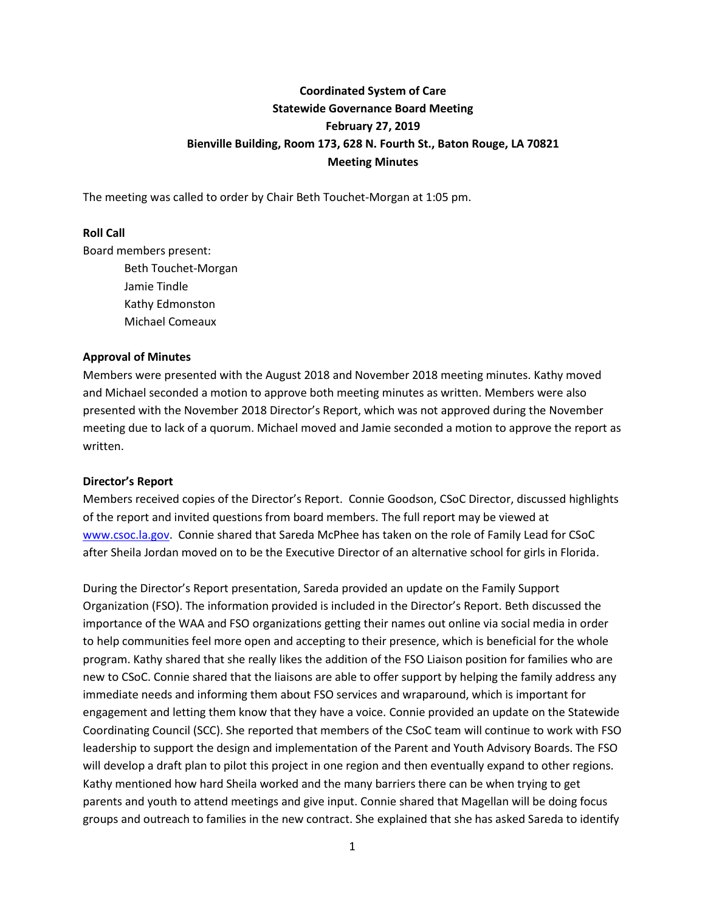# **Coordinated System of Care Statewide Governance Board Meeting February 27, 2019 Bienville Building, Room 173, 628 N. Fourth St., Baton Rouge, LA 70821 Meeting Minutes**

The meeting was called to order by Chair Beth Touchet-Morgan at 1:05 pm.

### **Roll Call**

Board members present:

Beth Touchet-Morgan Jamie Tindle Kathy Edmonston Michael Comeaux

#### **Approval of Minutes**

Members were presented with the August 2018 and November 2018 meeting minutes. Kathy moved and Michael seconded a motion to approve both meeting minutes as written. Members were also presented with the November 2018 Director's Report, which was not approved during the November meeting due to lack of a quorum. Michael moved and Jamie seconded a motion to approve the report as written.

#### **Director's Report**

Members received copies of the Director's Report. Connie Goodson, CSoC Director, discussed highlights of the report and invited questions from board members. The full report may be viewed at [www.csoc.la.gov.](http://www.csoc.la.gov/) Connie shared that Sareda McPhee has taken on the role of Family Lead for CSoC after Sheila Jordan moved on to be the Executive Director of an alternative school for girls in Florida.

During the Director's Report presentation, Sareda provided an update on the Family Support Organization (FSO). The information provided is included in the Director's Report. Beth discussed the importance of the WAA and FSO organizations getting their names out online via social media in order to help communities feel more open and accepting to their presence, which is beneficial for the whole program. Kathy shared that she really likes the addition of the FSO Liaison position for families who are new to CSoC. Connie shared that the liaisons are able to offer support by helping the family address any immediate needs and informing them about FSO services and wraparound, which is important for engagement and letting them know that they have a voice. Connie provided an update on the Statewide Coordinating Council (SCC). She reported that members of the CSoC team will continue to work with FSO leadership to support the design and implementation of the Parent and Youth Advisory Boards. The FSO will develop a draft plan to pilot this project in one region and then eventually expand to other regions. Kathy mentioned how hard Sheila worked and the many barriers there can be when trying to get parents and youth to attend meetings and give input. Connie shared that Magellan will be doing focus groups and outreach to families in the new contract. She explained that she has asked Sareda to identify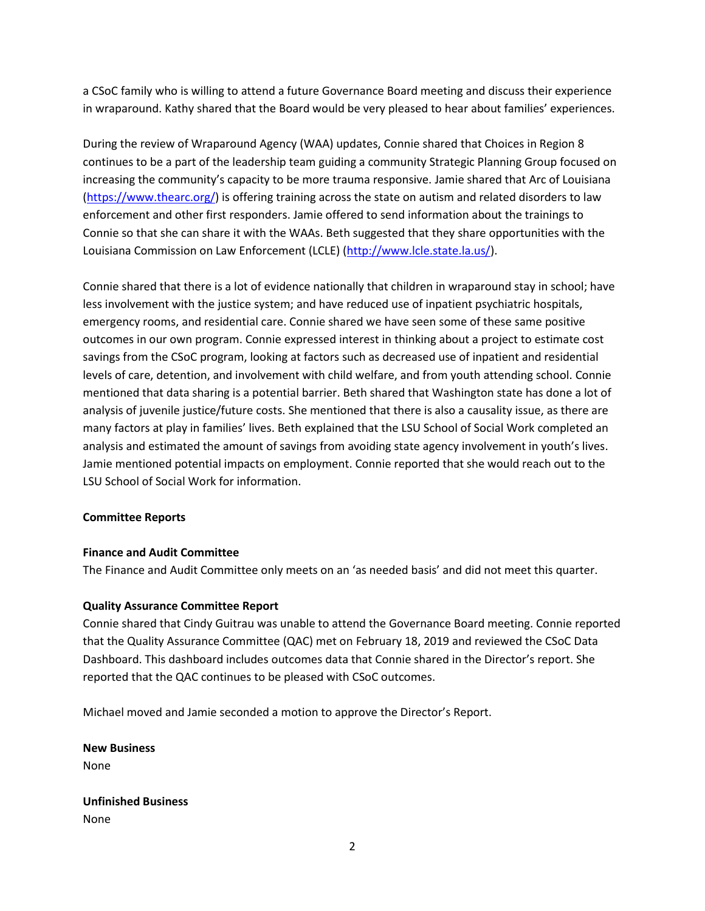a CSoC family who is willing to attend a future Governance Board meeting and discuss their experience in wraparound. Kathy shared that the Board would be very pleased to hear about families' experiences.

During the review of Wraparound Agency (WAA) updates, Connie shared that Choices in Region 8 continues to be a part of the leadership team guiding a community Strategic Planning Group focused on increasing the community's capacity to be more trauma responsive. Jamie shared that Arc of Louisiana [\(https://www.thearc.org/\)](https://www.thearc.org/) is offering training across the state on autism and related disorders to law enforcement and other first responders. Jamie offered to send information about the trainings to Connie so that she can share it with the WAAs. Beth suggested that they share opportunities with the Louisiana Commission on Law Enforcement (LCLE) [\(http://www.lcle.state.la.us/\)](http://www.lcle.state.la.us/).

Connie shared that there is a lot of evidence nationally that children in wraparound stay in school; have less involvement with the justice system; and have reduced use of inpatient psychiatric hospitals, emergency rooms, and residential care. Connie shared we have seen some of these same positive outcomes in our own program. Connie expressed interest in thinking about a project to estimate cost savings from the CSoC program, looking at factors such as decreased use of inpatient and residential levels of care, detention, and involvement with child welfare, and from youth attending school. Connie mentioned that data sharing is a potential barrier. Beth shared that Washington state has done a lot of analysis of juvenile justice/future costs. She mentioned that there is also a causality issue, as there are many factors at play in families' lives. Beth explained that the LSU School of Social Work completed an analysis and estimated the amount of savings from avoiding state agency involvement in youth's lives. Jamie mentioned potential impacts on employment. Connie reported that she would reach out to the LSU School of Social Work for information.

## **Committee Reports**

#### **Finance and Audit Committee**

The Finance and Audit Committee only meets on an 'as needed basis' and did not meet this quarter.

## **Quality Assurance Committee Report**

Connie shared that Cindy Guitrau was unable to attend the Governance Board meeting. Connie reported that the Quality Assurance Committee (QAC) met on February 18, 2019 and reviewed the CSoC Data Dashboard. This dashboard includes outcomes data that Connie shared in the Director's report. She reported that the QAC continues to be pleased with CSoC outcomes.

Michael moved and Jamie seconded a motion to approve the Director's Report.

**New Business** None

**Unfinished Business** None